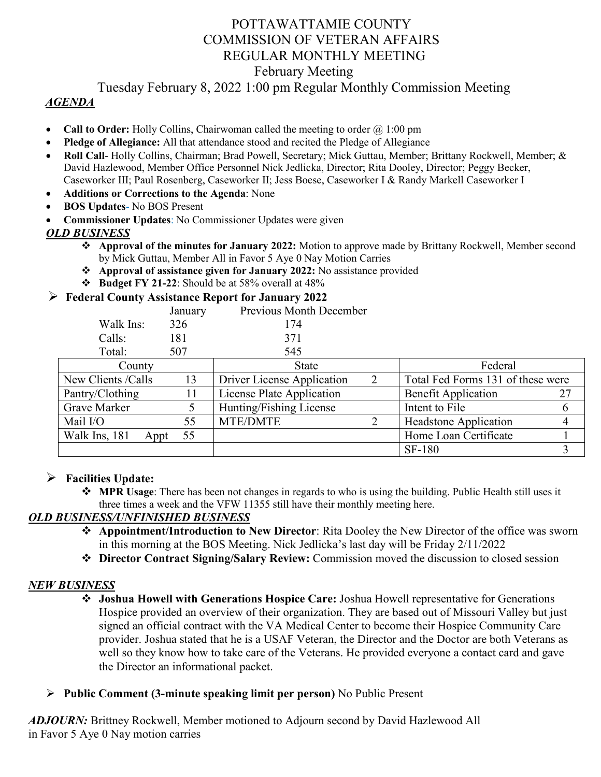# POTTAWATTAMIE COUNTY COMMISSION OF VETERAN AFFAIRS REGULAR MONTHLY MEETING February Meeting

## Tuesday February 8, 2022 1:00 pm Regular Monthly Commission Meeting

#### *AGENDA*

- **Call to Order:** Holly Collins, Chairwoman called the meeting to order  $\omega$  1:00 pm
- **Pledge of Allegiance:** All that attendance stood and recited the Pledge of Allegiance
- **Roll Call** Holly Collins, Chairman; Brad Powell, Secretary; Mick Guttau, Member; Brittany Rockwell, Member; & David Hazlewood, Member Office Personnel Nick Jedlicka, Director; Rita Dooley, Director; Peggy Becker, Caseworker III; Paul Rosenberg, Caseworker II; Jess Boese, Caseworker I & Randy Markell Caseworker I
- **Additions or Corrections to the Agenda**: None
- **BOS Updates** No BOS Present
- **Commissioner Updates**: No Commissioner Updates were given

#### *OLD BUSINESS*

- **Approval of the minutes for January 2022:** Motion to approve made by Brittany Rockwell, Member second by Mick Guttau, Member All in Favor 5 Aye 0 Nay Motion Carries
- **Approval of assistance given for January 2022:** No assistance provided
- $\div$  **Budget FY 21-22**: Should be at 58% overall at 48%

#### **Federal County Assistance Report for January 2022**

|                  | January | Previous Month December |
|------------------|---------|-------------------------|
| Walk Ins:        | 326     | 174                     |
| Calls:           | 181     | 371                     |
| Total:           | 507     | 545                     |
| $^{\circ}$ ounty |         | $\mathsf{State}$        |

| County                |    | <b>State</b>               |  | Federal                           |  |
|-----------------------|----|----------------------------|--|-----------------------------------|--|
| New Clients / Calls   | 13 | Driver License Application |  | Total Fed Forms 131 of these were |  |
| Pantry/Clothing       |    | License Plate Application  |  | <b>Benefit Application</b>        |  |
| Grave Marker          |    | Hunting/Fishing License    |  | Intent to File                    |  |
| Mail I/O              | 55 | <b>MTE/DMTE</b>            |  | <b>Headstone Application</b>      |  |
| Walk Ins, 181<br>Appt | 55 |                            |  | Home Loan Certificate             |  |
|                       |    |                            |  | <b>SF-180</b>                     |  |

#### **Facilities Update:**

 **MPR Usage**: There has been not changes in regards to who is using the building. Public Health still uses it three times a week and the VFW 11355 still have their monthly meeting here.

#### *OLD BUSINESS/UNFINISHED BUSINESS*

- **Appointment/Introduction to New Director**: Rita Dooley the New Director of the office was sworn in this morning at the BOS Meeting. Nick Jedlicka's last day will be Friday 2/11/2022
- **Director Contract Signing/Salary Review:** Commission moved the discussion to closed session

#### *NEW BUSINESS*

- **Joshua Howell with Generations Hospice Care:** Joshua Howell representative for Generations Hospice provided an overview of their organization. They are based out of Missouri Valley but just signed an official contract with the VA Medical Center to become their Hospice Community Care provider. Joshua stated that he is a USAF Veteran, the Director and the Doctor are both Veterans as well so they know how to take care of the Veterans. He provided everyone a contact card and gave the Director an informational packet.
- **Public Comment (3-minute speaking limit per person)** No Public Present

*ADJOURN:* Brittney Rockwell, Member motioned to Adjourn second by David Hazlewood All in Favor 5 Aye 0 Nay motion carries